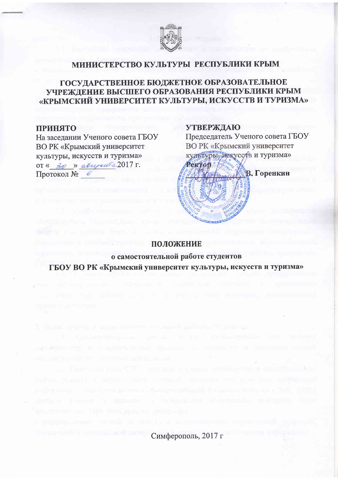

### МИНИСТЕРСТВО КУЛЬТУРЫ РЕСПУБЛИКИ КРЫМ

# ГОСУДАРСТВЕННОЕ БЮДЖЕТНОЕ ОБРАЗОВАТЕЛЬНОЕ УЧРЕЖДЕНИЕ ВЫСШЕГО ОБРАЗОВАНИЯ РЕСПУБЛИКИ КРЫМ «КРЫМСКИЙ УНИВЕРСИТЕТ КУЛЬТУРЫ, ИСКУССТВ И ТУРИЗМА»

#### **ПРИНЯТО**

На заседании Ученого совета ГБОУ **ВО РК «Крымский университет** культуры, искусств и туризма» OT « 30 » abuyeur a 2017 г. Протокол № 6

### **УТВЕРЖДАЮ**

Председатель Ученого совета ГБОУ ВО РК «Крымский университет культуры, искуссов и туризма» Perton В. Горенкин

### ПОЛОЖЕНИЕ

о самостоятельной работе студентов ГБОУ ВО РК «Крымский университет культуры, искусств и туризма»

Симферополь, 2017 г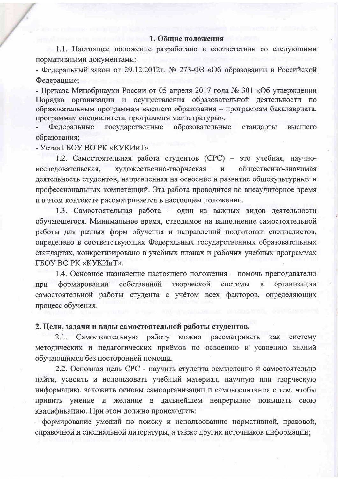#### 1. Общие положения

1.1. Настоящее положение разработано в соответствии со следующими нормативными документами:

- Федеральный закон от 29.12.2012г. № 273-ФЗ «Об образовании в Российской Федерации»;

- Приказа Минобрнауки России от 05 апреля 2017 года № 301 «Об утверждении Порядка организации и осуществления образовательной деятельности по образовательным программам высшего образования - программам бакалавриата, программам специалитета, программам магистратуры»,

государственные Федеральные образовательные стандарты высшего образования;

- Устав ГБОУ ВО РК «КУКИиТ»

1.2. Самостоятельная работа студентов (СРС) - это учебная, научнохудожественно-творческая общественно-значимая исследовательская,  $\mathbf{M}$ деятельность студентов, направленная на освоение и развитие общекультурных и профессиональных компетенций. Эта работа проводится во внеаудиторное время и в этом контексте рассматривается в настоящем положении.

1.3. Самостоятельная работа - один из важных видов деятельности обучающегося. Минимальное время, отводимое на выполнение самостоятельной работы для разных форм обучения и направлений подготовки специалистов, определено в соответствующих Федеральных государственных образовательных стандартах, конкретизировано в учебных планах и рабочих учебных программах ГБОУ ВО РК «КУКИиТ».

1.4. Основное назначение настоящего положения - помочь преподавателю формировании собственной творческой системы организации при  $\overline{B}$ самостоятельной работы студента с учётом всех факторов, определяющих процесс обучения.

### 2. Цели, задачи и виды самостоятельной работы студентов.

Самостоятельную работу можно рассматривать  $2.1.$ как систему методических и педагогических приёмов по освоению и усвоению знаний обучающимся без посторонней помощи.

2.2. Основная цель СРС - научить студента осмысленно и самостоятельно найти, усвоить и использовать учебный материал, научную или творческую информацию, заложить основы самоорганизации и самовоспитания с тем, чтобы привить умение и желание в дальнейшем непрерывно повышать свою квалификацию. При этом должно происходить:

- формирование умений по поиску и использованию нормативной, правовой, справочной и специальной литературы, а также других источников информации;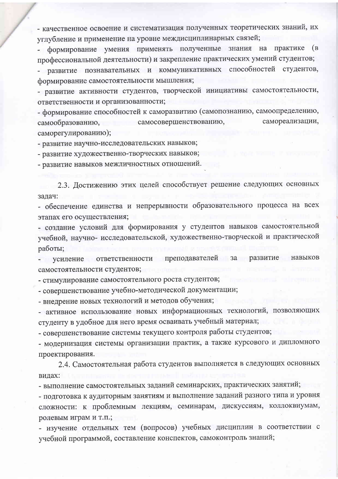- качественное освоение и систематизация полученных теоретических знаний, их углубление и применение на уровне междисциплинарных связей;

формирование умения применять полученные знания на практике (в профессиональной деятельности) и закрепление практических умений студентов; - развитие познавательных и коммуникативных способностей студентов, формирование самостоятельности мышления;

- развитие активности студентов, творческой инициативы самостоятельности, ответственности и организованности;

- формирование способностей к саморазвитию (самопознанию, самоопределению, самосовершенствованию, самореализации, самообразованию, саморегулированию);

- развитие научно-исследовательских навыков;

- развитие художественно-творческих навыков;

- развитие навыков межличностных отношений.

2.3. Достижению этих целей способствует решение следующих основных задач:

- обеспечение единства и непрерывности образовательного процесса на всех этапах его осуществления;

- создание условий для формирования у студентов навыков самостоятельной учебной, научно- исследовательской, художественно-творческой и практической работы;

усиление ответственности преподавателей за развитие навыков самостоятельности студентов;

- стимулирование самостоятельного роста студентов;

- совершенствование учебно-методической документации;

- внедрение новых технологий и методов обучения;

- активное использование новых информационных технологий, позволяющих студенту в удобное для него время осваивать учебный материал;

- совершенствование системы текущего контроля работы студентов;

- модернизация системы организации практик, а также курсового и дипломного проектирования.

2.4. Самостоятельная работа студентов выполняется в следующих основных видах:

- выполнение самостоятельных заданий семинарских, практических занятий;

- подготовка к аудиторным занятиям и выполнение заданий разного типа и уровня сложности: к проблемным лекциям, семинарам, дискуссиям, коллоквиумам, ролевым играм и т.п.;

- изучение отдельных тем (вопросов) учебных дисциплин в соответствии с учебной программой, составление конспектов, самоконтроль знаний;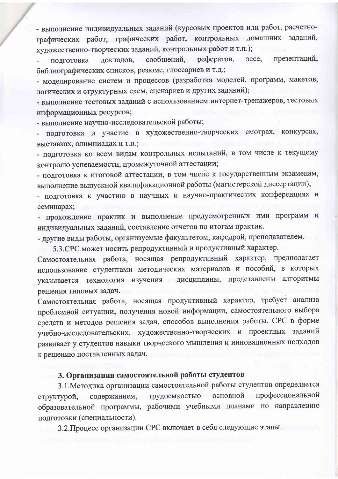- выполнение индивидуальных заданий (курсовых проектов или работ, расчетнографических работ, графических работ, контрольных домашних заданий, художественно-творческих заданий, контрольных работ и т.п.);

докладов, сообщений, эссе, презентаций, рефератов, подготовка библиографических списков, резюме, глоссариев и т.д.;

- моделирование систем и процессов (разработка моделей, программ, макетов, логических и структурных схем, сценариев и других заданий);

- выполнение тестовых заданий с использованием интернет-тренажеров, тестовых информационных ресурсов;

- выполнение научно-исследовательской работы;

подготовка и участие в художественно-творческих смотрах, конкурсах, выставках, олимпиадах и т.п.;

- подготовка ко всем видам контрольных испытаний, в том числе к текущему контролю успеваемости, промежуточной аттестации;

- подготовка к итоговой аттестации, в том числе к государственным экзаменам, выполнение выпускной квалификационной работы (магистерской диссертации);

- подготовка к участию в научных и научно-практических конференциях и семинарах;

- прохождение практик и выполнение предусмотренных ими программ и индивидуальных заданий, составление отчетов по итогам практик.

- другие виды работы, организуемые факультетом, кафедрой, преподавателем.

5.3. СРС может носить репродуктивный и продуктивный характер.

Самостоятельная работа, носящая репродуктивный характер, предполагает использование студентами методических материалов и пособий, в которых указывается технология изучения дисциплины, представлены алгоритмы решения типовых задач.

Самостоятельная работа, носящая продуктивный характер, требует анализа проблемной ситуации, получения новой информации, самостоятельного выбора средств и методов решения задач, способов выполнения работы. СРС в форме учебно-исследовательских, художественно-творческих и проектных заданий развивает у студентов навыки творческого мышления и инновационных подходов к решению поставленных задач.

## 3. Организация самостоятельной работы студентов

3.1. Методика организации самостоятельной работы студентов определяется основной профессиональной содержанием, трудоемкостью структурой, образовательной программы, рабочими учебными планами по направлению подготовки (специальности).

3.2. Процесс организации СРС включает в себя следующие этапы: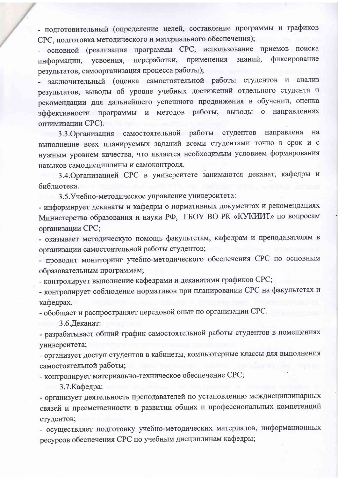- подготовительный (определение целей, составление программы и графиков СРС, подготовка методического и материального обеспечения);

- основной (реализация программы СРС, использование приемов поиска фиксирование переработки, применения знаний, информации, усвоения, результатов, самоорганизация процесса работы);

заключительный (оценка самостоятельной работы студентов и анализ результатов, выводы об уровне учебных достижений отдельного студента и рекомендации для дальнейшего успешного продвижения в обучении, оценка эффективности программы и методов работы, выводы о направлениях оптимизации СРС).

3.3. Организация самостоятельной работы студентов направлена на выполнение всех планируемых заданий всеми студентами точно в срок и с нужным уровнем качества, что является необходимым условием формирования навыков самодисциплины и самоконтроля.

3.4. Организацией СРС в университете занимаются деканат, кафедры и библиотека.

3.5. Учебно-методическое управление университета:

- информирует деканаты и кафедры о нормативных документах и рекомендациях Министерства образования и науки РФ, ГБОУ ВО РК «КУКИИТ» по вопросам организации СРС;

- оказывает методическую помощь факультетам, кафедрам и преподавателям в организации самостоятельной работы студентов;

- проводит мониторинг учебно-методического обеспечения СРС по основным образовательным программам;

- контролирует выполнение кафедрами и деканатами графиков СРС;

- контролирует соблюдение нормативов при планировании СРС на факультетах и кафедрах.

- обобщает и распространяет передовой опыт по организации СРС.

3.6. Деканат:

- разрабатывает общий график самостоятельной работы студентов в помещениях университета;

- организует доступ студентов в кабинеты, компьютерные классы для выполнения самостоятельной работы;

- контролирует материально-техническое обеспечение СРС;

3.7. Кафедра:

- организует деятельность преподавателей по установлению междисциплинарных связей и преемственности в развитии общих и профессиональных компетенций студентов;

- осуществляет подготовку учебно-методических материалов, информационных ресурсов обеспечения СРС по учебным дисциплинам кафедры;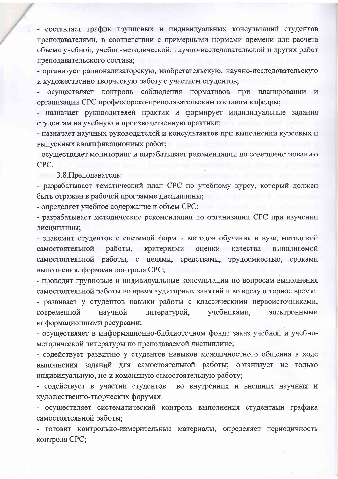- составляет график групповых и индивидуальных консультаций студентов преподавателями, в соответствии с примерными нормами времени для расчета объема учебной, учебно-методической, научно-исследовательской и других работ преподавательского состава;

- организует рационализаторскую, изобретательскую, научно-исследовательскую и художественно творческую работу с участием студентов;

осуществляет контроль соблюдения нормативов при планировании и организации СРС профессорско-преподавательским составом кафедры;

- назначает руководителей практик и формирует индивидуальные задания студентам на учебную и производственную практики;

- назначает научных руководителей и консультантов при выполнении курсовых и выпускных квалификационных работ;

- осуществляет мониторинг и вырабатывает рекомендации по совершенствованию CPC.

3.8. Преподаватель:

- разрабатывает тематический план СРС по учебному курсу, который должен быть отражен в рабочей программе дисциплины;

- определяет учебное содержание и объем СРС;

- разрабатывает методические рекомендации по организации СРС при изучении дисциплины;

- знакомит студентов с системой форм и методов обучения в вузе, методикой работы, критериями оценки самостоятельной качества выполняемой самостоятельной работы, с целями, средствами, трудоемкостью, сроками выполнения, формами контроля СРС;

- проводит групповые и индивидуальные консультации по вопросам выполнения самостоятельной работы во время аудиторных занятий и во внеаудиторное время;

- развивает у студентов навыки работы с классическими первоисточниками, литературой, учебниками, современной научной электронными информационными ресурсами;

- осуществляет в информационно-библиотечном фонде заказ учебной и учебнометодической литературы по преподаваемой дисциплине;

- содействует развитию у студентов навыков межличностного общения в ходе выполнения заданий для самостоятельной работы; организует не ТОЛЬКО индивидуальную, но и командную самостоятельную работу;

- содействует в участии студентов во внутренних и внешних научных и художественно-творческих форумах;

- осуществляет систематический контроль выполнения студентами графика самостоятельной работы;

- готовит контрольно-измерительные материалы, определяет периодичность контроля СРС;